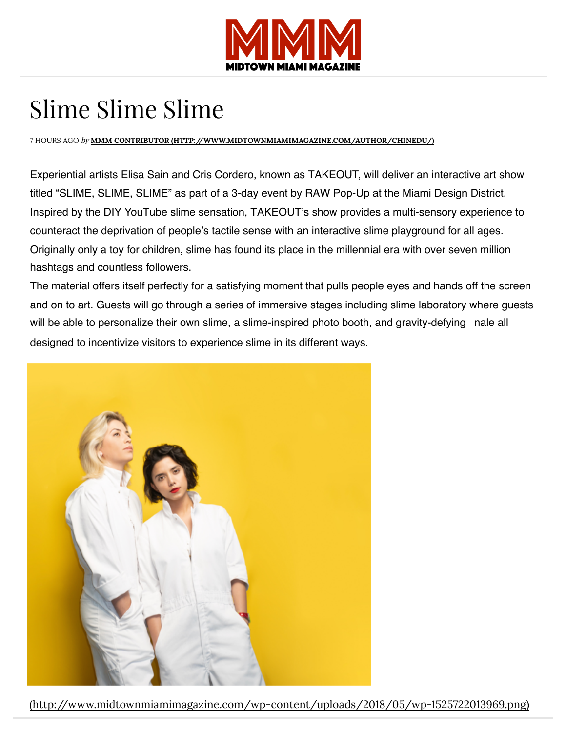

## Slime Slime Slime

7 HOURS AGO by **MMM CONTRIBUTOR (HTTP://WWW.MIDTOWNMIAMIMAGAZINE.COM/AUTHOR/CHINEDU/)**

Experiential artists Elisa Sain and Cris Cordero, known as TAKEOUT, will deliver an interactive art show titled "SLIME, SLIME, SLIME" as part of a 3-day event by RAW Pop-Up at the Miami Design District. Inspired by the DIY YouTube slime sensation, TAKEOUT's show provides a multi-sensory experience to [counteract the deprivation of people's tactile sense with an intera](http://www.midtownmiamimagazine.com/category/fashion/)ctive slime playground for all ages. [Originally only a toy for children, slime has found its place in the millennial era](http://www.midtownmiamimagazine.com/category/midtown-miami-magazine-music/) with over seven million hashtags and countless followers.

The material offers itself perfectly for a satisfying moment that pulls people eyes and hands off the screen and on to art. Guests will go through a series of immersive stages including slime laboratory where guests will be able t[o personalize their own slime, a slime-inspired photo booth, and gravity-d](http://www.midtownmiamimagazine.com/author/chinedu/)efying nale all designed to incentivize visitors to experience slime in its different ways.



(http://www.midtownmiamimagazine.com/wp-content/uploads/2018/05[/wp-1525722013969.png\)](http://www.midtownmiamimagazine.com/cart/)